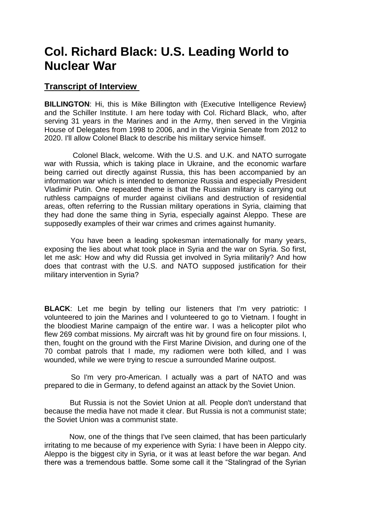## **Col. Richard Black: U.S. Leading World to Nuclear War**

## **Transcript of Interview**

**BILLINGTON:** Hi, this is Mike Billington with {Executive Intelligence Review} and the Schiller Institute. I am here today with Col. Richard Black, who, after serving 31 years in the Marines and in the Army, then served in the Virginia House of Delegates from 1998 to 2006, and in the Virginia Senate from 2012 to 2020. I'll allow Colonel Black to describe his military service himself.

Colonel Black, welcome. With the U.S. and U.K. and NATO surrogate war with Russia, which is taking place in Ukraine, and the economic warfare being carried out directly against Russia, this has been accompanied by an information war which is intended to demonize Russia and especially President Vladimir Putin. One repeated theme is that the Russian military is carrying out ruthless campaigns of murder against civilians and destruction of residential areas, often referring to the Russian military operations in Syria, claiming that they had done the same thing in Syria, especially against Aleppo. These are supposedly examples of their war crimes and crimes against humanity.

 You have been a leading spokesman internationally for many years, exposing the lies about what took place in Syria and the war on Syria. So first, let me ask: How and why did Russia get involved in Syria militarily? And how does that contrast with the U.S. and NATO supposed justification for their military intervention in Syria?

**BLACK:** Let me begin by telling our listeners that I'm very patriotic: I volunteered to join the Marines and I volunteered to go to Vietnam. I fought in the bloodiest Marine campaign of the entire war. I was a helicopter pilot who flew 269 combat missions. My aircraft was hit by ground fire on four missions. I, then, fought on the ground with the First Marine Division, and during one of the 70 combat patrols that I made, my radiomen were both killed, and I was wounded, while we were trying to rescue a surrounded Marine outpost.

 So I'm very pro-American. I actually was a part of NATO and was prepared to die in Germany, to defend against an attack by the Soviet Union.

 But Russia is not the Soviet Union at all. People don't understand that because the media have not made it clear. But Russia is not a communist state; the Soviet Union was a communist state.

 Now, one of the things that I've seen claimed, that has been particularly irritating to me because of my experience with Syria: I have been in Aleppo city. Aleppo is the biggest city in Syria, or it was at least before the war began. And there was a tremendous battle. Some some call it the "Stalingrad of the Syrian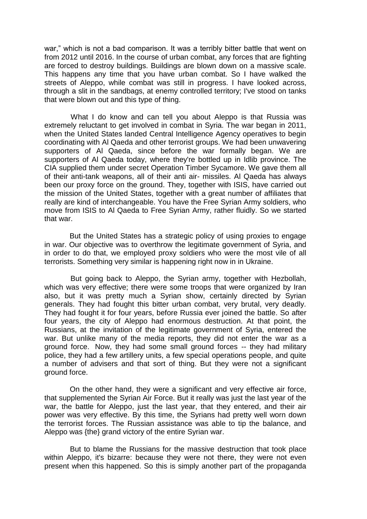war," which is not a bad comparison. It was a terribly bitter battle that went on from 2012 until 2016. In the course of urban combat, any forces that are fighting are forced to destroy buildings. Buildings are blown down on a massive scale. This happens any time that you have urban combat. So I have walked the streets of Aleppo, while combat was still in progress. I have looked across, through a slit in the sandbags, at enemy controlled territory; I've stood on tanks that were blown out and this type of thing.

 What I do know and can tell you about Aleppo is that Russia was extremely reluctant to get involved in combat in Syria. The war began in 2011, when the United States landed Central Intelligence Agency operatives to begin coordinating with Al Qaeda and other terrorist groups. We had been unwavering supporters of Al Qaeda, since before the war formally began. We are supporters of Al Qaeda today, where they're bottled up in Idlib province. The CIA supplied them under secret Operation Timber Sycamore. We gave them all of their anti-tank weapons, all of their anti air- missiles. Al Qaeda has always been our proxy force on the ground. They, together with ISIS, have carried out the mission of the United States, together with a great number of affiliates that really are kind of interchangeable. You have the Free Syrian Army soldiers, who move from ISIS to Al Qaeda to Free Syrian Army, rather fluidly. So we started that war.

 But the United States has a strategic policy of using proxies to engage in war. Our objective was to overthrow the legitimate government of Syria, and in order to do that, we employed proxy soldiers who were the most vile of all terrorists. Something very similar is happening right now in in Ukraine.

 But going back to Aleppo, the Syrian army, together with Hezbollah, which was very effective; there were some troops that were organized by Iran also, but it was pretty much a Syrian show, certainly directed by Syrian generals. They had fought this bitter urban combat, very brutal, very deadly. They had fought it for four years, before Russia ever joined the battle. So after four years, the city of Aleppo had enormous destruction. At that point, the Russians, at the invitation of the legitimate government of Syria, entered the war. But unlike many of the media reports, they did not enter the war as a ground force. Now, they had some small ground forces -- they had military police, they had a few artillery units, a few special operations people, and quite a number of advisers and that sort of thing. But they were not a significant ground force.

 On the other hand, they were a significant and very effective air force, that supplemented the Syrian Air Force. But it really was just the last year of the war, the battle for Aleppo, just the last year, that they entered, and their air power was very effective. By this time, the Syrians had pretty well worn down the terrorist forces. The Russian assistance was able to tip the balance, and Aleppo was {the} grand victory of the entire Syrian war.

 But to blame the Russians for the massive destruction that took place within Aleppo, it's bizarre: because they were not there, they were not even present when this happened. So this is simply another part of the propaganda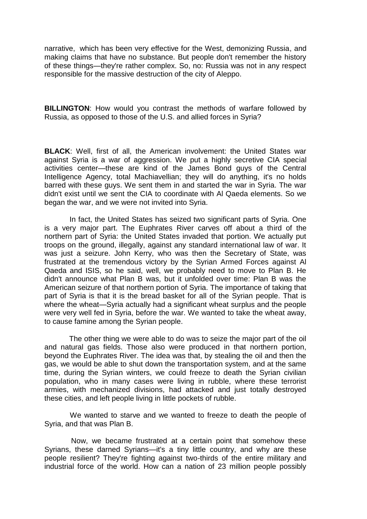narrative, which has been very effective for the West, demonizing Russia, and making claims that have no substance. But people don't remember the history of these things—they're rather complex. So, no: Russia was not in any respect responsible for the massive destruction of the city of Aleppo.

**BILLINGTON**: How would you contrast the methods of warfare followed by Russia, as opposed to those of the U.S. and allied forces in Syria?

**BLACK**: Well, first of all, the American involvement: the United States war against Syria is a war of aggression. We put a highly secretive CIA special activities center—these are kind of the James Bond guys of the Central Intelligence Agency, total Machiavellian; they will do anything, it's no holds barred with these guys. We sent them in and started the war in Syria. The war didn't exist until we sent the CIA to coordinate with Al Qaeda elements. So we began the war, and we were not invited into Syria.

 In fact, the United States has seized two significant parts of Syria. One is a very major part. The Euphrates River carves off about a third of the northern part of Syria: the United States invaded that portion. We actually put troops on the ground, illegally, against any standard international law of war. It was just a seizure. John Kerry, who was then the Secretary of State, was frustrated at the tremendous victory by the Syrian Armed Forces against Al Qaeda and ISIS, so he said, well, we probably need to move to Plan B. He didn't announce what Plan B was, but it unfolded over time: Plan B was the American seizure of that northern portion of Syria. The importance of taking that part of Syria is that it is the bread basket for all of the Syrian people. That is where the wheat—Syria actually had a significant wheat surplus and the people were very well fed in Syria, before the war. We wanted to take the wheat away, to cause famine among the Syrian people.

 The other thing we were able to do was to seize the major part of the oil and natural gas fields. Those also were produced in that northern portion, beyond the Euphrates River. The idea was that, by stealing the oil and then the gas, we would be able to shut down the transportation system, and at the same time, during the Syrian winters, we could freeze to death the Syrian civilian population, who in many cases were living in rubble, where these terrorist armies, with mechanized divisions, had attacked and just totally destroyed these cities, and left people living in little pockets of rubble.

 We wanted to starve and we wanted to freeze to death the people of Syria, and that was Plan B.

 Now, we became frustrated at a certain point that somehow these Syrians, these darned Syrians—it's a tiny little country, and why are these people resilient? They're fighting against two-thirds of the entire military and industrial force of the world. How can a nation of 23 million people possibly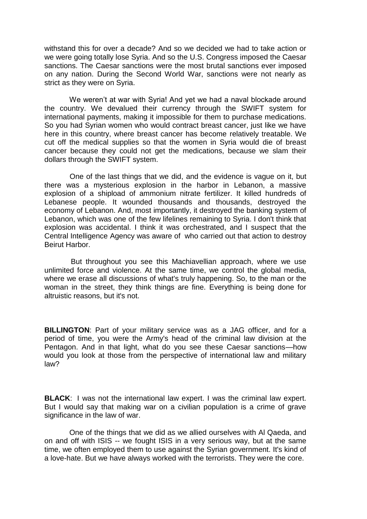withstand this for over a decade? And so we decided we had to take action or we were going totally lose Syria. And so the U.S. Congress imposed the Caesar sanctions. The Caesar sanctions were the most brutal sanctions ever imposed on any nation. During the Second World War, sanctions were not nearly as strict as they were on Syria.

We weren't at war with Syria! And yet we had a naval blockade around the country. We devalued their currency through the SWIFT system for international payments, making it impossible for them to purchase medications. So you had Syrian women who would contract breast cancer, just like we have here in this country, where breast cancer has become relatively treatable. We cut off the medical supplies so that the women in Syria would die of breast cancer because they could not get the medications, because we slam their dollars through the SWIFT system.

 One of the last things that we did, and the evidence is vague on it, but there was a mysterious explosion in the harbor in Lebanon, a massive explosion of a shipload of ammonium nitrate fertilizer. It killed hundreds of Lebanese people. It wounded thousands and thousands, destroyed the economy of Lebanon. And, most importantly, it destroyed the banking system of Lebanon, which was one of the few lifelines remaining to Syria. I don't think that explosion was accidental. I think it was orchestrated, and I suspect that the Central Intelligence Agency was aware of who carried out that action to destroy Beirut Harbor.

 But throughout you see this Machiavellian approach, where we use unlimited force and violence. At the same time, we control the global media, where we erase all discussions of what's truly happening. So, to the man or the woman in the street, they think things are fine. Everything is being done for altruistic reasons, but it's not.

**BILLINGTON**: Part of your military service was as a JAG officer, and for a period of time, you were the Army's head of the criminal law division at the Pentagon. And in that light, what do you see these Caesar sanctions—how would you look at those from the perspective of international law and military law?

**BLACK**: I was not the international law expert. I was the criminal law expert. But I would say that making war on a civilian population is a crime of grave significance in the law of war.

 One of the things that we did as we allied ourselves with Al Qaeda, and on and off with ISIS -- we fought ISIS in a very serious way, but at the same time, we often employed them to use against the Syrian government. It's kind of a love-hate. But we have always worked with the terrorists. They were the core.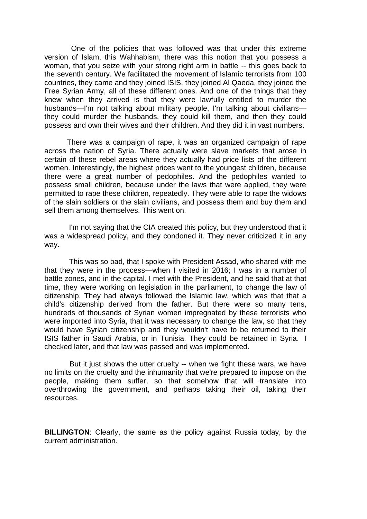One of the policies that was followed was that under this extreme version of Islam, this Wahhabism, there was this notion that you possess a woman, that you seize with your strong right arm in battle -- this goes back to the seventh century. We facilitated the movement of Islamic terrorists from 100 countries, they came and they joined ISIS, they joined Al Qaeda, they joined the Free Syrian Army, all of these different ones. And one of the things that they knew when they arrived is that they were lawfully entitled to murder the husbands—I'm not talking about military people, I'm talking about civilians they could murder the husbands, they could kill them, and then they could possess and own their wives and their children. And they did it in vast numbers.

There was a campaign of rape, it was an organized campaign of rape across the nation of Syria. There actually were slave markets that arose in certain of these rebel areas where they actually had price lists of the different women. Interestingly, the highest prices went to the youngest children, because there were a great number of pedophiles. And the pedophiles wanted to possess small children, because under the laws that were applied, they were permitted to rape these children, repeatedly. They were able to rape the widows of the slain soldiers or the slain civilians, and possess them and buy them and sell them among themselves. This went on.

 I'm not saying that the CIA created this policy, but they understood that it was a widespread policy, and they condoned it. They never criticized it in any way.

 This was so bad, that I spoke with President Assad, who shared with me that they were in the process—when I visited in 2016; I was in a number of battle zones, and in the capital. I met with the President, and he said that at that time, they were working on legislation in the parliament, to change the law of citizenship. They had always followed the Islamic law, which was that that a child's citizenship derived from the father. But there were so many tens, hundreds of thousands of Syrian women impregnated by these terrorists who were imported into Syria, that it was necessary to change the law, so that they would have Syrian citizenship and they wouldn't have to be returned to their ISIS father in Saudi Arabia, or in Tunisia. They could be retained in Syria. I checked later, and that law was passed and was implemented.

 But it just shows the utter cruelty -- when we fight these wars, we have no limits on the cruelty and the inhumanity that we're prepared to impose on the people, making them suffer, so that somehow that will translate into overthrowing the government, and perhaps taking their oil, taking their resources.

**BILLINGTON**: Clearly, the same as the policy against Russia today, by the current administration.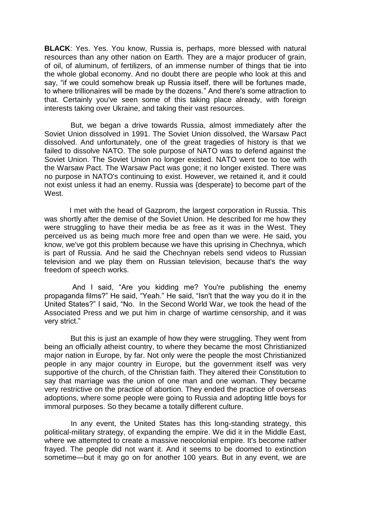**BLACK**: Yes. Yes. You know, Russia is, perhaps, more blessed with natural resources than any other nation on Earth. They are a major producer of grain, of oil, of aluminum, of fertilizers, of an immense number of things that tie into the whole global economy. And no doubt there are people who look at this and say, "if we could somehow break up Russia itself, there will be fortunes made, to where trillionaires will be made by the dozens." And there's some attraction to that. Certainly you've seen some of this taking place already, with foreign interests taking over Ukraine, and taking their vast resources.

 But, we began a drive towards Russia, almost immediately after the Soviet Union dissolved in 1991. The Soviet Union dissolved, the Warsaw Pact dissolved. And unfortunately, one of the great tragedies of history is that we failed to dissolve NATO. The sole purpose of NATO was to defend against the Soviet Union. The Soviet Union no longer existed. NATO went toe to toe with the Warsaw Pact. The Warsaw Pact was gone; it no longer existed. There was no purpose in NATO's continuing to exist. However, we retained it, and it could not exist unless it had an enemy. Russia was {desperate} to become part of the West.

 I met with the head of Gazprom, the largest corporation in Russia. This was shortly after the demise of the Soviet Union. He described for me how they were struggling to have their media be as free as it was in the West. They perceived us as being much more free and open than we were. He said, you know, we've got this problem because we have this uprising in Chechnya, which is part of Russia. And he said the Chechnyan rebels send videos to Russian television and we play them on Russian television, because that's the way freedom of speech works.

 And I said, "Are you kidding me? You're publishing the enemy propaganda films?" He said, "Yeah." He said, "Isn't that the way you do it in the United States?" I said, "No. In the Second World War, we took the head of the Associated Press and we put him in charge of wartime censorship, and it was very strict."

But this is just an example of how they were struggling. They went from being an officially atheist country, to where they became the most Christianized major nation in Europe, by far. Not only were the people the most Christianized people in any major country in Europe, but the government itself was very supportive of the church, of the Christian faith. They altered their Constitution to say that marriage was the union of one man and one woman. They became very restrictive on the practice of abortion. They ended the practice of overseas adoptions, where some people were going to Russia and adopting little boys for immoral purposes. So they became a totally different culture.

 In any event, the United States has this long-standing strategy, this political-military strategy, of expanding the empire. We did it in the Middle East, where we attempted to create a massive neocolonial empire. It's become rather frayed. The people did not want it. And it seems to be doomed to extinction sometime—but it may go on for another 100 years. But in any event, we are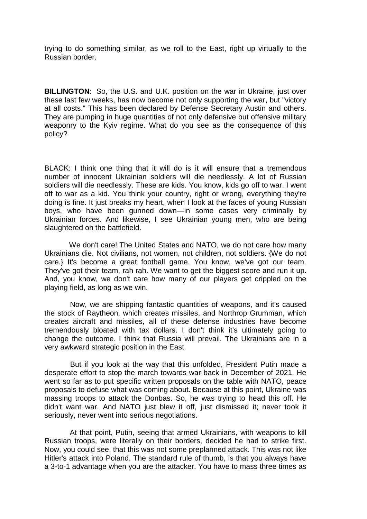trying to do something similar, as we roll to the East, right up virtually to the Russian border.

**BILLINGTON:** So, the U.S. and U.K. position on the war in Ukraine, just over these last few weeks, has now become not only supporting the war, but "victory at all costs." This has been declared by Defense Secretary Austin and others. They are pumping in huge quantities of not only defensive but offensive military weaponry to the Kyiv regime. What do you see as the consequence of this policy?

BLACK: I think one thing that it will do is it will ensure that a tremendous number of innocent Ukrainian soldiers will die needlessly. A lot of Russian soldiers will die needlessly. These are kids. You know, kids go off to war. I went off to war as a kid. You think your country, right or wrong, everything they're doing is fine. It just breaks my heart, when I look at the faces of young Russian boys, who have been gunned down—in some cases very criminally by Ukrainian forces. And likewise, I see Ukrainian young men, who are being slaughtered on the battlefield.

 We don't care! The United States and NATO, we do not care how many Ukrainians die. Not civilians, not women, not children, not soldiers. {We do not care.} It's become a great football game. You know, we've got our team. They've got their team, rah rah. We want to get the biggest score and run it up. And, you know, we don't care how many of our players get crippled on the playing field, as long as we win.

 Now, we are shipping fantastic quantities of weapons, and it's caused the stock of Raytheon, which creates missiles, and Northrop Grumman, which creates aircraft and missiles, all of these defense industries have become tremendously bloated with tax dollars. I don't think it's ultimately going to change the outcome. I think that Russia will prevail. The Ukrainians are in a very awkward strategic position in the East.

 But if you look at the way that this unfolded, President Putin made a desperate effort to stop the march towards war back in December of 2021. He went so far as to put specific written proposals on the table with NATO, peace proposals to defuse what was coming about. Because at this point, Ukraine was massing troops to attack the Donbas. So, he was trying to head this off. He didn't want war. And NATO just blew it off, just dismissed it; never took it seriously, never went into serious negotiations.

 At that point, Putin, seeing that armed Ukrainians, with weapons to kill Russian troops, were literally on their borders, decided he had to strike first. Now, you could see, that this was not some preplanned attack. This was not like Hitler's attack into Poland. The standard rule of thumb, is that you always have a 3-to-1 advantage when you are the attacker. You have to mass three times as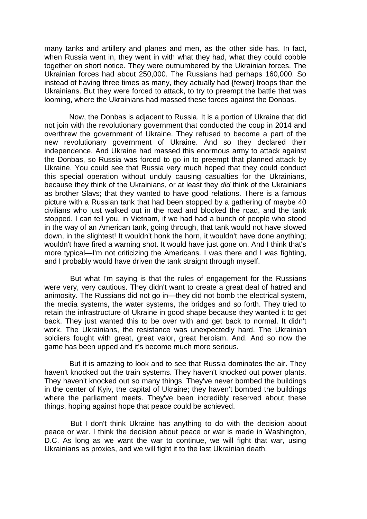many tanks and artillery and planes and men, as the other side has. In fact, when Russia went in, they went in with what they had, what they could cobble together on short notice. They were outnumbered by the Ukrainian forces. The Ukrainian forces had about 250,000. The Russians had perhaps 160,000. So instead of having three times as many, they actually had {fewer} troops than the Ukrainians. But they were forced to attack, to try to preempt the battle that was looming, where the Ukrainians had massed these forces against the Donbas.

 Now, the Donbas is adjacent to Russia. It is a portion of Ukraine that did not join with the revolutionary government that conducted the coup in 2014 and overthrew the government of Ukraine. They refused to become a part of the new revolutionary government of Ukraine. And so they declared their independence. And Ukraine had massed this enormous army to attack against the Donbas, so Russia was forced to go in to preempt that planned attack by Ukraine. You could see that Russia very much hoped that they could conduct this special operation without unduly causing casualties for the Ukrainians, because they think of the Ukrainians, or at least they *did* think of the Ukrainians as brother Slavs; that they wanted to have good relations. There is a famous picture with a Russian tank that had been stopped by a gathering of maybe 40 civilians who just walked out in the road and blocked the road, and the tank stopped. I can tell you, in Vietnam, if we had had a bunch of people who stood in the way of an American tank, going through, that tank would not have slowed down, in the slightest! It wouldn't honk the horn, it wouldn't have done anything; wouldn't have fired a warning shot. It would have just gone on. And I think that's more typical—I'm not criticizing the Americans. I was there and I was fighting, and I probably would have driven the tank straight through myself.

 But what I'm saying is that the rules of engagement for the Russians were very, very cautious. They didn't want to create a great deal of hatred and animosity. The Russians did not go in—they did not bomb the electrical system, the media systems, the water systems, the bridges and so forth. They tried to retain the infrastructure of Ukraine in good shape because they wanted it to get back. They just wanted this to be over with and get back to normal. It didn't work. The Ukrainians, the resistance was unexpectedly hard. The Ukrainian soldiers fought with great, great valor, great heroism. And. And so now the game has been upped and it's become much more serious.

 But it is amazing to look and to see that Russia dominates the air. They haven't knocked out the train systems. They haven't knocked out power plants. They haven't knocked out so many things. They've never bombed the buildings in the center of Kyiv, the capital of Ukraine; they haven't bombed the buildings where the parliament meets. They've been incredibly reserved about these things, hoping against hope that peace could be achieved.

 But I don't think Ukraine has anything to do with the decision about peace or war. I think the decision about peace or war is made in Washington, D.C. As long as we want the war to continue, we will fight that war, using Ukrainians as proxies, and we will fight it to the last Ukrainian death.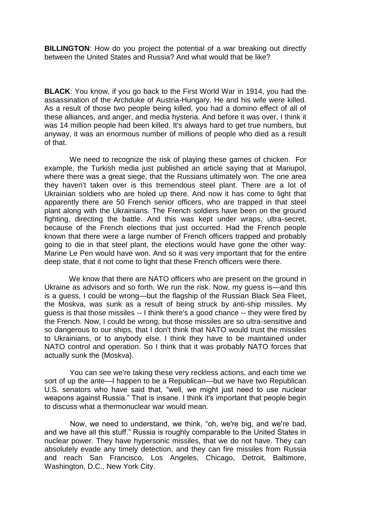**BILLINGTON**: How do you project the potential of a war breaking out directly between the United States and Russia? And what would that be like?

**BLACK**: You know, if you go back to the First World War in 1914, you had the assassination of the Archduke of Austria-Hungary. He and his wife were killed. As a result of those two people being killed, you had a domino effect of all of these alliances, and anger, and media hysteria. And before it was over, I think it was 14 million people had been killed. It's always hard to get true numbers, but anyway, it was an enormous number of millions of people who died as a result of that.

 We need to recognize the risk of playing these games of chicken. For example, the Turkish media just published an article saying that at Mariupol, where there was a great siege, that the Russians ultimately won. The one area they haven't taken over is this tremendous steel plant. There are a lot of Ukrainian soldiers who are holed up there. And now it has come to light that apparently there are 50 French senior officers, who are trapped in that steel plant along with the Ukrainians. The French soldiers have been on the ground fighting, directing the battle. And this was kept under wraps, ultra-secret, because of the French elections that just occurred. Had the French people known that there were a large number of French officers trapped and probably going to die in that steel plant, the elections would have gone the other way: Marine Le Pen would have won. And so it was very important that for the entire deep state, that it not come to light that these French officers were there.

 We know that there are NATO officers who are present on the ground in Ukraine as advisors and so forth. We run the risk. Now, my guess is—and this is a guess, I could be wrong—but the flagship of the Russian Black Sea Fleet, the Moskva, was sunk as a result of being struck by anti-ship missiles. My guess is that those missiles -- I think there's a good chance -- they were fired by the French. Now, I could be wrong, but those missiles are so ultra-sensitive and so dangerous to our ships, that I don't think that NATO would trust the missiles to Ukrainians, or to anybody else. I think they have to be maintained under NATO control and operation. So I think that it was probably NATO forces that actually sunk the {Moskva}.

You can see we're taking these very reckless actions, and each time we sort of up the ante—I happen to be a Republican—but we have two Republican U.S. senators who have said that, "well, we might just need to use nuclear weapons against Russia." That is insane. I think it's important that people begin to discuss what a thermonuclear war would mean.

 Now, we need to understand, we think, "oh, we're big, and we're bad, and we have all this stuff." Russia is roughly comparable to the United States in nuclear power. They have hypersonic missiles, that we do not have. They can absolutely evade any timely detection, and they can fire missiles from Russia and reach San Francisco, Los Angeles, Chicago, Detroit, Baltimore, Washington, D.C., New York City.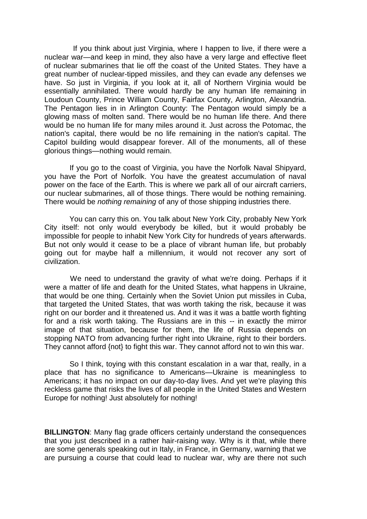If you think about just Virginia, where I happen to live, if there were a nuclear war—and keep in mind, they also have a very large and effective fleet of nuclear submarines that lie off the coast of the United States. They have a great number of nuclear-tipped missiles, and they can evade any defenses we have. So just in Virginia, if you look at it, all of Northern Virginia would be essentially annihilated. There would hardly be any human life remaining in Loudoun County, Prince William County, Fairfax County, Arlington, Alexandria. The Pentagon lies in in Arlington County: The Pentagon would simply be a glowing mass of molten sand. There would be no human life there. And there would be no human life for many miles around it. Just across the Potomac, the nation's capital, there would be no life remaining in the nation's capital. The Capitol building would disappear forever. All of the monuments, all of these glorious things—nothing would remain.

 If you go to the coast of Virginia, you have the Norfolk Naval Shipyard, you have the Port of Norfolk. You have the greatest accumulation of naval power on the face of the Earth. This is where we park all of our aircraft carriers, our nuclear submarines, all of those things. There would be nothing remaining. There would be *nothing remaining* of any of those shipping industries there.

You can carry this on. You talk about New York City, probably New York City itself: not only would everybody be killed, but it would probably be impossible for people to inhabit New York City for hundreds of years afterwards. But not only would it cease to be a place of vibrant human life, but probably going out for maybe half a millennium, it would not recover any sort of civilization.

 We need to understand the gravity of what we're doing. Perhaps if it were a matter of life and death for the United States, what happens in Ukraine, that would be one thing. Certainly when the Soviet Union put missiles in Cuba, that targeted the United States, that was worth taking the risk, because it was right on our border and it threatened us. And it was it was a battle worth fighting for and a risk worth taking. The Russians are in this -- in exactly the mirror image of that situation, because for them, the life of Russia depends on stopping NATO from advancing further right into Ukraine, right to their borders. They cannot afford {not} to fight this war. They cannot afford not to win this war.

 So I think, toying with this constant escalation in a war that, really, in a place that has no significance to Americans—Ukraine is meaningless to Americans; it has no impact on our day-to-day lives. And yet we're playing this reckless game that risks the lives of all people in the United States and Western Europe for nothing! Just absolutely for nothing!

**BILLINGTON:** Many flag grade officers certainly understand the consequences that you just described in a rather hair-raising way. Why is it that, while there are some generals speaking out in Italy, in France, in Germany, warning that we are pursuing a course that could lead to nuclear war, why are there not such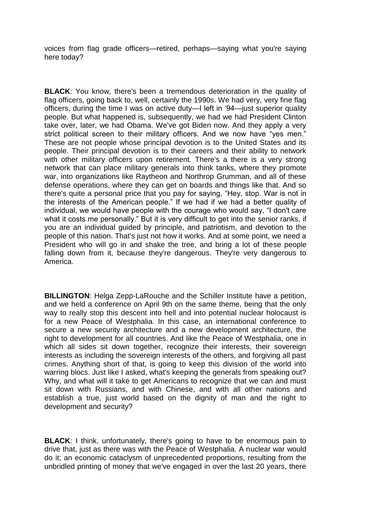voices from flag grade officers—retired, perhaps—saying what you're saying here today?

**BLACK**: You know, there's been a tremendous deterioration in the quality of flag officers, going back to, well, certainly the 1990s. We had very, very fine flag officers, during the time I was on active duty—I left in "94—just superior quality people. But what happened is, subsequently, we had we had President Clinton take over, later, we had Obama. We've got Biden now. And they apply a very strict political screen to their military officers. And we now have "yes men." These are not people whose principal devotion is to the United States and its people. Their principal devotion is to their careers and their ability to network with other military officers upon retirement. There's a there is a very strong network that can place military generals into think tanks, where they promote war, into organizations like Raytheon and Northrop Grumman, and all of these defense operations, where they can get on boards and things like that. And so there's quite a personal price that you pay for saying, "Hey, stop. War is not in the interests of the American people." If we had if we had a better quality of individual, we would have people with the courage who would say, "I don't care what it costs me personally." But it is very difficult to get into the senior ranks, if you are an individual guided by principle, and patriotism, and devotion to the people of this nation. That's just not how it works. And at some point, we need a President who will go in and shake the tree, and bring a lot of these people falling down from it, because they're dangerous. They're very dangerous to America.

**BILLINGTON**: Helga Zepp-LaRouche and the Schiller Institute have a petition, and we held a conference on April 9th on the same theme, being that the only way to really stop this descent into hell and into potential nuclear holocaust is for a new Peace of Westphalia. In this case, an international conference to secure a new security architecture and a new development architecture, the right to development for all countries. And like the Peace of Westphalia, one in which all sides sit down together, recognize their interests, their sovereign interests as including the sovereign interests of the others, and forgiving all past crimes. Anything short of that, is going to keep this division of the world into warring blocs. Just like I asked, what's keeping the generals from speaking out? Why, and what will it take to get Americans to recognize that we can and must sit down with Russians, and with Chinese, and with all other nations and establish a true, just world based on the dignity of man and the right to development and security?

**BLACK**: I think, unfortunately, there's going to have to be enormous pain to drive that, just as there was with the Peace of Westphalia. A nuclear war would do it; an economic cataclysm of unprecedented proportions, resulting from the unbridled printing of money that we've engaged in over the last 20 years, there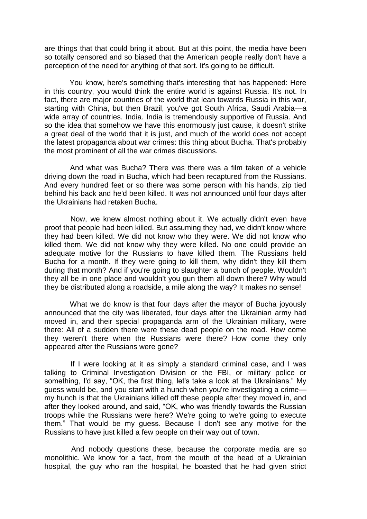are things that that could bring it about. But at this point, the media have been so totally censored and so biased that the American people really don't have a perception of the need for anything of that sort. It's going to be difficult.

 You know, here's something that's interesting that has happened: Here in this country, you would think the entire world is against Russia. It's not. In fact, there are major countries of the world that lean towards Russia in this war, starting with China, but then Brazil, you've got South Africa, Saudi Arabia—a wide array of countries. India. India is tremendously supportive of Russia. And so the idea that somehow we have this enormously just cause, it doesn't strike a great deal of the world that it is just, and much of the world does not accept the latest propaganda about war crimes: this thing about Bucha. That's probably the most prominent of all the war crimes discussions.

 And what was Bucha? There was there was a film taken of a vehicle driving down the road in Bucha, which had been recaptured from the Russians. And every hundred feet or so there was some person with his hands, zip tied behind his back and he'd been killed. It was not announced until four days after the Ukrainians had retaken Bucha.

 Now, we knew almost nothing about it. We actually didn't even have proof that people had been killed. But assuming they had, we didn't know where they had been killed. We did not know who they were. We did not know who killed them. We did not know why they were killed. No one could provide an adequate motive for the Russians to have killed them. The Russians held Bucha for a month. If they were going to kill them, why didn't they kill them during that month? And if you're going to slaughter a bunch of people. Wouldn't they all be in one place and wouldn't you gun them all down there? Why would they be distributed along a roadside, a mile along the way? It makes no sense!

 What we do know is that four days after the mayor of Bucha joyously announced that the city was liberated, four days after the Ukrainian army had moved in, and their special propaganda arm of the Ukrainian military, were there: All of a sudden there were these dead people on the road. How come they weren't there when the Russians were there? How come they only appeared after the Russians were gone?

 If I were looking at it as simply a standard criminal case, and I was talking to Criminal Investigation Division or the FBI, or military police or something, I'd say, "OK, the first thing, let's take a look at the Ukrainians." My guess would be, and you start with a hunch when you're investigating a crime my hunch is that the Ukrainians killed off these people after they moved in, and after they looked around, and said, "OK, who was friendly towards the Russian troops while the Russians were here? We're going to we're going to execute them." That would be my guess. Because I don't see any motive for the Russians to have just killed a few people on their way out of town.

 And nobody questions these, because the corporate media are so monolithic. We know for a fact, from the mouth of the head of a Ukrainian hospital, the guy who ran the hospital, he boasted that he had given strict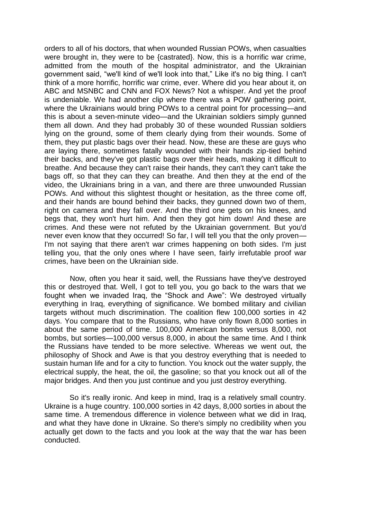orders to all of his doctors, that when wounded Russian POWs, when casualties were brought in, they were to be {castrated}. Now, this is a horrific war crime, admitted from the mouth of the hospital administrator, and the Ukrainian government said, "we'll kind of we'll look into that," Like it's no big thing. I can't think of a more horrific, horrific war crime, ever. Where did you hear about it, on ABC and MSNBC and CNN and FOX News? Not a whisper. And yet the proof is undeniable. We had another clip where there was a POW gathering point, where the Ukrainians would bring POWs to a central point for processing—and this is about a seven-minute video—and the Ukrainian soldiers simply gunned them all down. And they had probably 30 of these wounded Russian soldiers lying on the ground, some of them clearly dying from their wounds. Some of them, they put plastic bags over their head. Now, these are these are guys who are laying there, sometimes fatally wounded with their hands zip-tied behind their backs, and they've got plastic bags over their heads, making it difficult to breathe. And because they can't raise their hands, they can't they can't take the bags off, so that they can they can breathe. And then they at the end of the video, the Ukrainians bring in a van, and there are three unwounded Russian POWs. And without this slightest thought or hesitation, as the three come off, and their hands are bound behind their backs, they gunned down two of them, right on camera and they fall over. And the third one gets on his knees, and begs that, they won't hurt him. And then they got him down! And these are crimes. And these were not refuted by the Ukrainian government. But you'd never even know that they occurred! So far, I will tell you that the only proven— I'm not saying that there aren't war crimes happening on both sides. I'm just telling you, that the only ones where I have seen, fairly irrefutable proof war crimes, have been on the Ukrainian side.

 Now, often you hear it said, well, the Russians have they've destroyed this or destroyed that. Well, I got to tell you, you go back to the wars that we fought when we invaded Iraq, the "Shock and Awe": We destroyed virtually everything in Iraq, everything of significance. We bombed military and civilian targets without much discrimination. The coalition flew 100,000 sorties in 42 days. You compare that to the Russians, who have only flown 8,000 sorties in about the same period of time. 100,000 American bombs versus 8,000, not bombs, but sorties—100,000 versus 8,000, in about the same time. And I think the Russians have tended to be more selective. Whereas we went out, the philosophy of Shock and Awe is that you destroy everything that is needed to sustain human life and for a city to function. You knock out the water supply, the electrical supply, the heat, the oil, the gasoline; so that you knock out all of the major bridges. And then you just continue and you just destroy everything.

 So it's really ironic. And keep in mind, Iraq is a relatively small country. Ukraine is a huge country. 100,000 sorties in 42 days, 8,000 sorties in about the same time. A tremendous difference in violence between what we did in Iraq, and what they have done in Ukraine. So there's simply no credibility when you actually get down to the facts and you look at the way that the war has been conducted.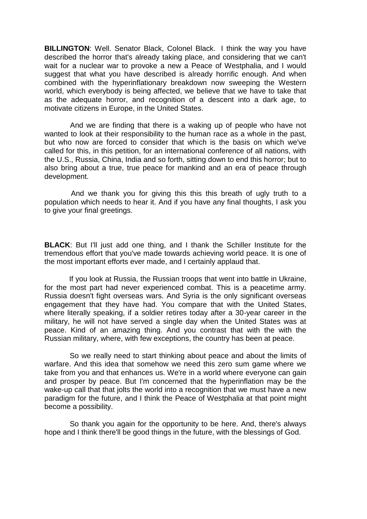**BILLINGTON**: Well. Senator Black, Colonel Black. I think the way you have described the horror that's already taking place, and considering that we can't wait for a nuclear war to provoke a new a Peace of Westphalia, and I would suggest that what you have described is already horrific enough. And when combined with the hyperinflationary breakdown now sweeping the Western world, which everybody is being affected, we believe that we have to take that as the adequate horror, and recognition of a descent into a dark age, to motivate citizens in Europe, in the United States.

 And we are finding that there is a waking up of people who have not wanted to look at their responsibility to the human race as a whole in the past, but who now are forced to consider that which is the basis on which we've called for this, in this petition, for an international conference of all nations, with the U.S., Russia, China, India and so forth, sitting down to end this horror; but to also bring about a true, true peace for mankind and an era of peace through development.

 And we thank you for giving this this this breath of ugly truth to a population which needs to hear it. And if you have any final thoughts, I ask you to give your final greetings.

**BLACK**: But I'll just add one thing, and I thank the Schiller Institute for the tremendous effort that you've made towards achieving world peace. It is one of the most important efforts ever made, and I certainly applaud that.

 If you look at Russia, the Russian troops that went into battle in Ukraine, for the most part had never experienced combat. This is a peacetime army. Russia doesn't fight overseas wars. And Syria is the only significant overseas engagement that they have had. You compare that with the United States, where literally speaking, if a soldier retires today after a 30-year career in the military, he will not have served a single day when the United States was at peace. Kind of an amazing thing. And you contrast that with the with the Russian military, where, with few exceptions, the country has been at peace.

 So we really need to start thinking about peace and about the limits of warfare. And this idea that somehow we need this zero sum game where we take from you and that enhances us. We're in a world where everyone can gain and prosper by peace. But I'm concerned that the hyperinflation may be the wake-up call that that jolts the world into a recognition that we must have a new paradigm for the future, and I think the Peace of Westphalia at that point might become a possibility.

 So thank you again for the opportunity to be here. And, there's always hope and I think there'll be good things in the future, with the blessings of God.